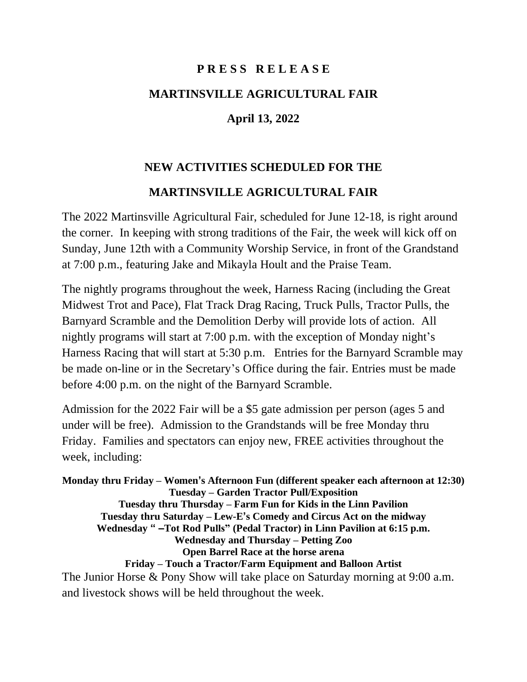## **P R E S S R E L E A S E MARTINSVILLE AGRICULTURAL FAIR**

## **April 13, 2022**

## **NEW ACTIVITIES SCHEDULED FOR THE**

## **MARTINSVILLE AGRICULTURAL FAIR**

The 2022 Martinsville Agricultural Fair, scheduled for June 12-18, is right around the corner. In keeping with strong traditions of the Fair, the week will kick off on Sunday, June 12th with a Community Worship Service, in front of the Grandstand at 7:00 p.m., featuring Jake and Mikayla Hoult and the Praise Team.

The nightly programs throughout the week, Harness Racing (including the Great Midwest Trot and Pace), Flat Track Drag Racing, Truck Pulls, Tractor Pulls, the Barnyard Scramble and the Demolition Derby will provide lots of action. All nightly programs will start at 7:00 p.m. with the exception of Monday night's Harness Racing that will start at 5:30 p.m. Entries for the Barnyard Scramble may be made on-line or in the Secretary's Office during the fair. Entries must be made before 4:00 p.m. on the night of the Barnyard Scramble.

Admission for the 2022 Fair will be a \$5 gate admission per person (ages 5 and under will be free). Admission to the Grandstands will be free Monday thru Friday. Families and spectators can enjoy new, FREE activities throughout the week, including:

**Monday thru Friday – Women's Afternoon Fun (different speaker each afternoon at 12:30) Tuesday – Garden Tractor Pull/Exposition Tuesday thru Thursday – Farm Fun for Kids in the Linn Pavilion Tuesday thru Saturday – Lew-E's Comedy and Circus Act on the midway Wednesday " –Tot Rod Pulls" (Pedal Tractor) in Linn Pavilion at 6:15 p.m. Wednesday and Thursday – Petting Zoo Open Barrel Race at the horse arena Friday – Touch a Tractor/Farm Equipment and Balloon Artist** The Junior Horse & Pony Show will take place on Saturday morning at 9:00 a.m. and livestock shows will be held throughout the week.